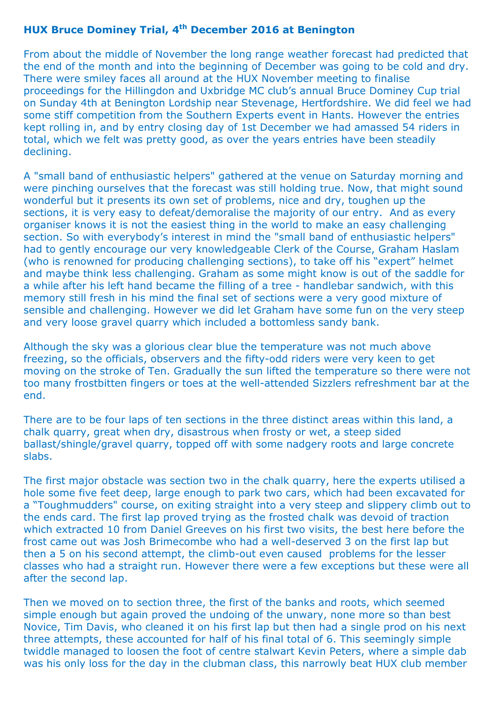## **HUX Bruce Dominey Trial, 4th December 2016 at Benington**

From about the middle of November the long range weather forecast had predicted that the end of the month and into the beginning of December was going to be cold and dry. There were smiley faces all around at the HUX November meeting to finalise proceedings for the Hillingdon and Uxbridge MC club's annual Bruce Dominey Cup trial on Sunday 4th at Benington Lordship near Stevenage, Hertfordshire. We did feel we had some stiff competition from the Southern Experts event in Hants. However the entries kept rolling in, and by entry closing day of 1st December we had amassed 54 riders in total, which we felt was pretty good, as over the years entries have been steadily declining.

A "small band of enthusiastic helpers" gathered at the venue on Saturday morning and were pinching ourselves that the forecast was still holding true. Now, that might sound wonderful but it presents its own set of problems, nice and dry, toughen up the sections, it is very easy to defeat/demoralise the majority of our entry. And as every organiser knows it is not the easiest thing in the world to make an easy challenging section. So with everybody's interest in mind the "small band of enthusiastic helpers" had to gently encourage our very knowledgeable Clerk of the Course, Graham Haslam (who is renowned for producing challenging sections), to take off his "expert" helmet and maybe think less challenging. Graham as some might know is out of the saddle for a while after his left hand became the filling of a tree - handlebar sandwich, with this memory still fresh in his mind the final set of sections were a very good mixture of sensible and challenging. However we did let Graham have some fun on the very steep and very loose gravel quarry which included a bottomless sandy bank.

Although the sky was a glorious clear blue the temperature was not much above freezing, so the officials, observers and the fifty-odd riders were very keen to get moving on the stroke of Ten. Gradually the sun lifted the temperature so there were not too many frostbitten fingers or toes at the well-attended Sizzlers refreshment bar at the end.

There are to be four laps of ten sections in the three distinct areas within this land, a chalk quarry, great when dry, disastrous when frosty or wet, a steep sided ballast/shingle/gravel quarry, topped off with some nadgery roots and large concrete slabs.

The first major obstacle was section two in the chalk quarry, here the experts utilised a hole some five feet deep, large enough to park two cars, which had been excavated for a "Toughmudders" course, on exiting straight into a very steep and slippery climb out to the ends card. The first lap proved trying as the frosted chalk was devoid of traction which extracted 10 from Daniel Greeves on his first two visits, the best here before the frost came out was Josh Brimecombe who had a well-deserved 3 on the first lap but then a 5 on his second attempt, the climb-out even caused problems for the lesser classes who had a straight run. However there were a few exceptions but these were all after the second lap.

Then we moved on to section three, the first of the banks and roots, which seemed simple enough but again proved the undoing of the unwary, none more so than best Novice, Tim Davis, who cleaned it on his first lap but then had a single prod on his next three attempts, these accounted for half of his final total of 6. This seemingly simple twiddle managed to loosen the foot of centre stalwart Kevin Peters, where a simple dab was his only loss for the day in the clubman class, this narrowly beat HUX club member